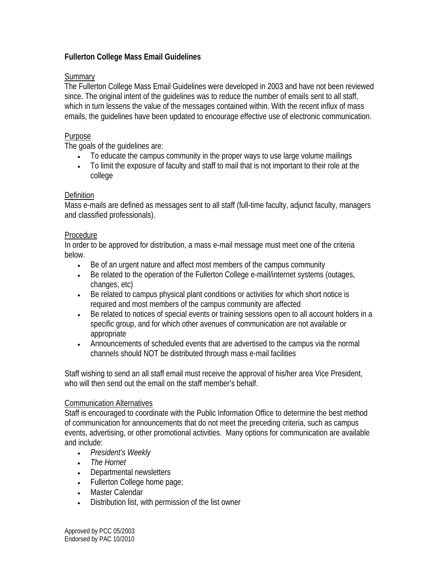# **Fullerton College Mass Email Guidelines**

## **Summary**

The Fullerton College Mass Email Guidelines were developed in 2003 and have not been reviewed since. The original intent of the guidelines was to reduce the number of emails sent to all staff, which in turn lessens the value of the messages contained within. With the recent influx of mass emails, the guidelines have been updated to encourage effective use of electronic communication.

#### Purpose

The goals of the guidelines are:

- To educate the campus community in the proper ways to use large volume mailings
- To limit the exposure of faculty and staff to mail that is not important to their role at the college

### **Definition**

Mass e-mails are defined as messages sent to all staff (full-time faculty, adjunct faculty, managers and classified professionals).

### Procedure

In order to be approved for distribution, a mass e-mail message must meet one of the criteria below.

- Be of an urgent nature and affect most members of the campus community
- Be related to the operation of the Fullerton College e-mail/internet systems (outages, changes, etc)
- Be related to campus physical plant conditions or activities for which short notice is required and most members of the campus community are affected
- Be related to notices of special events or training sessions open to all account holders in a specific group, and for which other avenues of communication are not available or appropriate
- Announcements of scheduled events that are advertised to the campus via the normal channels should NOT be distributed through mass e-mail facilities

Staff wishing to send an all staff email must receive the approval of his/her area Vice President, who will then send out the email on the staff member's behalf.

#### Communication Alternatives

Staff is encouraged to coordinate with the Public Information Office to determine the best method of communication for announcements that do not meet the preceding criteria, such as campus events, advertising, or other promotional activities. Many options for communication are available and include:

- *President's Weekly*
- *The Hornet*
- Departmental newsletters
- Fullerton College home page;
- Master Calendar
- Distribution list, with permission of the list owner